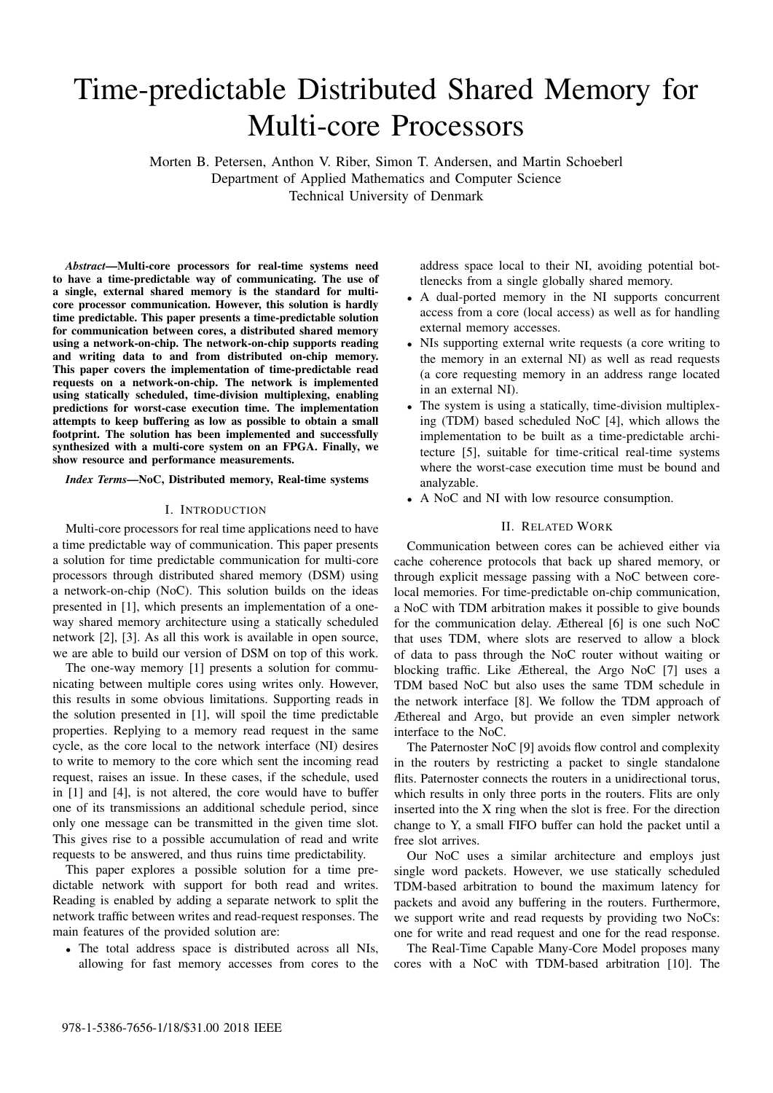# Time-predictable Distributed Shared Memory for Multi-core Processors

Morten B. Petersen, Anthon V. Riber, Simon T. Andersen, and Martin Schoeberl Department of Applied Mathematics and Computer Science Technical University of Denmark

*Abstract*—Multi-core processors for real-time systems need to have a time-predictable way of communicating. The use of a single, external shared memory is the standard for multicore processor communication. However, this solution is hardly time predictable. This paper presents a time-predictable solution for communication between cores, a distributed shared memory using a network-on-chip. The network-on-chip supports reading and writing data to and from distributed on-chip memory. This paper covers the implementation of time-predictable read requests on a network-on-chip. The network is implemented using statically scheduled, time-division multiplexing, enabling predictions for worst-case execution time. The implementation attempts to keep buffering as low as possible to obtain a small footprint. The solution has been implemented and successfully synthesized with a multi-core system on an FPGA. Finally, we show resource and performance measurements.

*Index Terms*—NoC, Distributed memory, Real-time systems

# I. INTRODUCTION

Multi-core processors for real time applications need to have a time predictable way of communication. This paper presents a solution for time predictable communication for multi-core processors through distributed shared memory (DSM) using a network-on-chip (NoC). This solution builds on the ideas presented in [\[1\]](#page-6-0), which presents an implementation of a oneway shared memory architecture using a statically scheduled network [\[2\]](#page-6-1), [\[3\]](#page-6-2). As all this work is available in open source, we are able to build our version of DSM on top of this work.

The one-way memory [\[1\]](#page-6-0) presents a solution for communicating between multiple cores using writes only. However, this results in some obvious limitations. Supporting reads in the solution presented in [\[1\]](#page-6-0), will spoil the time predictable properties. Replying to a memory read request in the same cycle, as the core local to the network interface (NI) desires to write to memory to the core which sent the incoming read request, raises an issue. In these cases, if the schedule, used in [\[1\]](#page-6-0) and [\[4\]](#page-6-3), is not altered, the core would have to buffer one of its transmissions an additional schedule period, since only one message can be transmitted in the given time slot. This gives rise to a possible accumulation of read and write requests to be answered, and thus ruins time predictability.

This paper explores a possible solution for a time predictable network with support for both read and writes. Reading is enabled by adding a separate network to split the network traffic between writes and read-request responses. The main features of the provided solution are:

• The total address space is distributed across all NIs, allowing for fast memory accesses from cores to the address space local to their NI, avoiding potential bottlenecks from a single globally shared memory.

- A dual-ported memory in the NI supports concurrent access from a core (local access) as well as for handling external memory accesses.
- NIs supporting external write requests (a core writing to the memory in an external NI) as well as read requests (a core requesting memory in an address range located in an external NI).
- The system is using a statically, time-division multiplexing (TDM) based scheduled NoC [\[4\]](#page-6-3), which allows the implementation to be built as a time-predictable architecture [\[5\]](#page-6-4), suitable for time-critical real-time systems where the worst-case execution time must be bound and analyzable.
- A NoC and NI with low resource consumption.

### II. RELATED WORK

Communication between cores can be achieved either via cache coherence protocols that back up shared memory, or through explicit message passing with a NoC between corelocal memories. For time-predictable on-chip communication, a NoC with TDM arbitration makes it possible to give bounds for the communication delay. Æthereal [\[6\]](#page-6-5) is one such NoC that uses TDM, where slots are reserved to allow a block of data to pass through the NoC router without waiting or blocking traffic. Like Æthereal, the Argo NoC [\[7\]](#page-6-6) uses a TDM based NoC but also uses the same TDM schedule in the network interface [\[8\]](#page-6-7). We follow the TDM approach of Æthereal and Argo, but provide an even simpler network interface to the NoC.

The Paternoster NoC [\[9\]](#page-6-8) avoids flow control and complexity in the routers by restricting a packet to single standalone flits. Paternoster connects the routers in a unidirectional torus, which results in only three ports in the routers. Flits are only inserted into the X ring when the slot is free. For the direction change to Y, a small FIFO buffer can hold the packet until a free slot arrives.

Our NoC uses a similar architecture and employs just single word packets. However, we use statically scheduled TDM-based arbitration to bound the maximum latency for packets and avoid any buffering in the routers. Furthermore, we support write and read requests by providing two NoCs: one for write and read request and one for the read response.

The Real-Time Capable Many-Core Model proposes many cores with a NoC with TDM-based arbitration [\[10\]](#page-6-9). The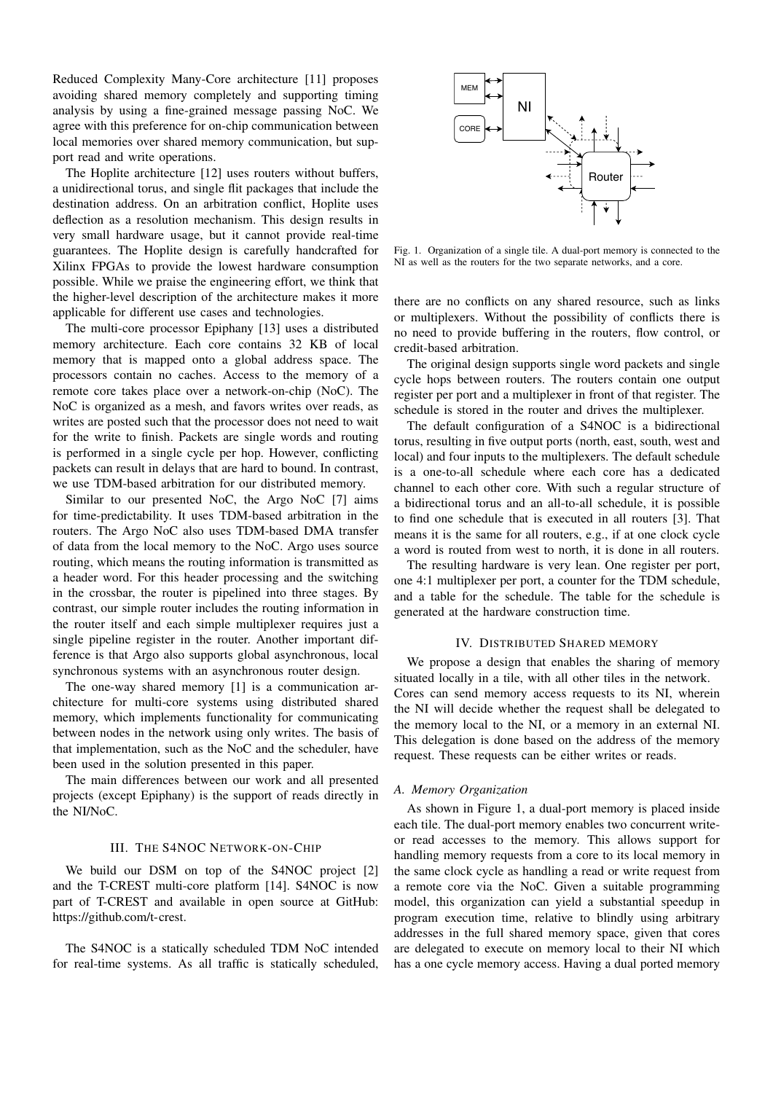Reduced Complexity Many-Core architecture [\[11\]](#page-6-10) proposes avoiding shared memory completely and supporting timing analysis by using a fine-grained message passing NoC. We agree with this preference for on-chip communication between local memories over shared memory communication, but support read and write operations.

The Hoplite architecture [\[12\]](#page-6-11) uses routers without buffers, a unidirectional torus, and single flit packages that include the destination address. On an arbitration conflict, Hoplite uses deflection as a resolution mechanism. This design results in very small hardware usage, but it cannot provide real-time guarantees. The Hoplite design is carefully handcrafted for Xilinx FPGAs to provide the lowest hardware consumption possible. While we praise the engineering effort, we think that the higher-level description of the architecture makes it more applicable for different use cases and technologies.

The multi-core processor Epiphany [\[13\]](#page-6-12) uses a distributed memory architecture. Each core contains 32 KB of local memory that is mapped onto a global address space. The processors contain no caches. Access to the memory of a remote core takes place over a network-on-chip (NoC). The NoC is organized as a mesh, and favors writes over reads, as writes are posted such that the processor does not need to wait for the write to finish. Packets are single words and routing is performed in a single cycle per hop. However, conflicting packets can result in delays that are hard to bound. In contrast, we use TDM-based arbitration for our distributed memory.

Similar to our presented NoC, the Argo NoC [\[7\]](#page-6-6) aims for time-predictability. It uses TDM-based arbitration in the routers. The Argo NoC also uses TDM-based DMA transfer of data from the local memory to the NoC. Argo uses source routing, which means the routing information is transmitted as a header word. For this header processing and the switching in the crossbar, the router is pipelined into three stages. By contrast, our simple router includes the routing information in the router itself and each simple multiplexer requires just a single pipeline register in the router. Another important difference is that Argo also supports global asynchronous, local synchronous systems with an asynchronous router design.

The one-way shared memory [\[1\]](#page-6-0) is a communication architecture for multi-core systems using distributed shared memory, which implements functionality for communicating between nodes in the network using only writes. The basis of that implementation, such as the NoC and the scheduler, have been used in the solution presented in this paper.

The main differences between our work and all presented projects (except Epiphany) is the support of reads directly in the NI/NoC.

## III. THE S4NOC NETWORK-ON-CHIP

We build our DSM on top of the S4NOC project [\[2\]](#page-6-1) and the T-CREST multi-core platform [\[14\]](#page-6-13). S4NOC is now part of T-CREST and available in open source at GitHub: [https://github.com/t-crest.](https://github.com/t-crest)

The S4NOC is a statically scheduled TDM NoC intended for real-time systems. As all traffic is statically scheduled,



<span id="page-1-0"></span>Fig. 1. Organization of a single tile. A dual-port memory is connected to the NI as well as the routers for the two separate networks, and a core.

there are no conflicts on any shared resource, such as links or multiplexers. Without the possibility of conflicts there is no need to provide buffering in the routers, flow control, or credit-based arbitration.

The original design supports single word packets and single cycle hops between routers. The routers contain one output register per port and a multiplexer in front of that register. The schedule is stored in the router and drives the multiplexer.

The default configuration of a S4NOC is a bidirectional torus, resulting in five output ports (north, east, south, west and local) and four inputs to the multiplexers. The default schedule is a one-to-all schedule where each core has a dedicated channel to each other core. With such a regular structure of a bidirectional torus and an all-to-all schedule, it is possible to find one schedule that is executed in all routers [\[3\]](#page-6-2). That means it is the same for all routers, e.g., if at one clock cycle a word is routed from west to north, it is done in all routers.

The resulting hardware is very lean. One register per port, one 4:1 multiplexer per port, a counter for the TDM schedule, and a table for the schedule. The table for the schedule is generated at the hardware construction time.

## IV. DISTRIBUTED SHARED MEMORY

We propose a design that enables the sharing of memory situated locally in a tile, with all other tiles in the network. Cores can send memory access requests to its NI, wherein the NI will decide whether the request shall be delegated to the memory local to the NI, or a memory in an external NI. This delegation is done based on the address of the memory request. These requests can be either writes or reads.

#### <span id="page-1-1"></span>*A. Memory Organization*

As shown in Figure [1,](#page-1-0) a dual-port memory is placed inside each tile. The dual-port memory enables two concurrent writeor read accesses to the memory. This allows support for handling memory requests from a core to its local memory in the same clock cycle as handling a read or write request from a remote core via the NoC. Given a suitable programming model, this organization can yield a substantial speedup in program execution time, relative to blindly using arbitrary addresses in the full shared memory space, given that cores are delegated to execute on memory local to their NI which has a one cycle memory access. Having a dual ported memory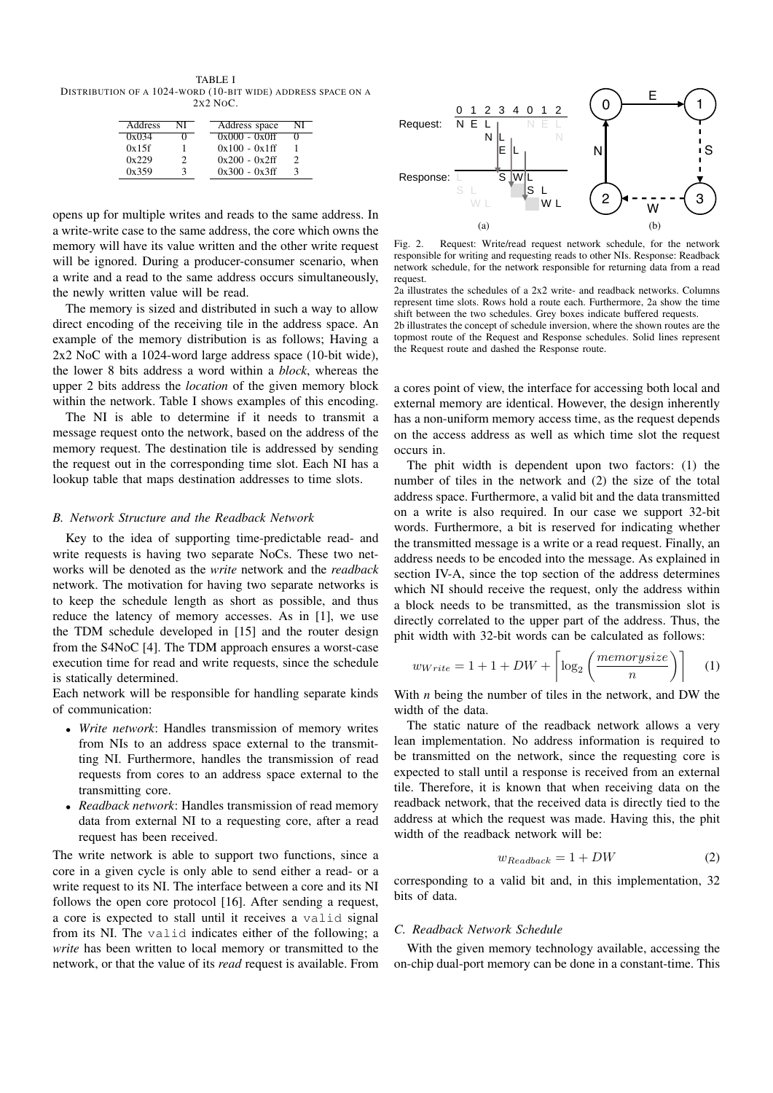<span id="page-2-0"></span>TABLE I DISTRIBUTION OF A 1024-WORD (10-BIT WIDE) ADDRESS SPACE ON A 2X2 NOC.

| Address | NI | Address space   | NI |
|---------|----|-----------------|----|
| 0x034   |    | $0x000 - 0x0ff$ | O  |
| 0x15f   |    | $0x100 - 0x1ff$ |    |
| 0x229   |    | $0x200 - 0x2ff$ | ↑  |
| 0x359   | 3  | $0x300 - 0x3ff$ | ٩  |

opens up for multiple writes and reads to the same address. In a write-write case to the same address, the core which owns the memory will have its value written and the other write request will be ignored. During a producer-consumer scenario, when a write and a read to the same address occurs simultaneously, the newly written value will be read.

The memory is sized and distributed in such a way to allow direct encoding of the receiving tile in the address space. An example of the memory distribution is as follows; Having a 2x2 NoC with a 1024-word large address space (10-bit wide), the lower 8 bits address a word within a *block*, whereas the upper 2 bits address the *location* of the given memory block within the network. Table [I](#page-2-0) shows examples of this encoding.

The NI is able to determine if it needs to transmit a message request onto the network, based on the address of the memory request. The destination tile is addressed by sending the request out in the corresponding time slot. Each NI has a lookup table that maps destination addresses to time slots.

# *B. Network Structure and the Readback Network*

Key to the idea of supporting time-predictable read- and write requests is having two separate NoCs. These two networks will be denoted as the *write* network and the *readback* network. The motivation for having two separate networks is to keep the schedule length as short as possible, and thus reduce the latency of memory accesses. As in [\[1\]](#page-6-0), we use the TDM schedule developed in [\[15\]](#page-6-14) and the router design from the S4NoC [\[4\]](#page-6-3). The TDM approach ensures a worst-case execution time for read and write requests, since the schedule is statically determined.

Each network will be responsible for handling separate kinds of communication:

- *Write network*: Handles transmission of memory writes from NIs to an address space external to the transmitting NI. Furthermore, handles the transmission of read requests from cores to an address space external to the transmitting core.
- *Readback network*: Handles transmission of read memory data from external NI to a requesting core, after a read request has been received.

The write network is able to support two functions, since a core in a given cycle is only able to send either a read- or a write request to its NI. The interface between a core and its NI follows the open core protocol [\[16\]](#page-6-15). After sending a request, a core is expected to stall until it receives a valid signal from its NI. The valid indicates either of the following; a *write* has been written to local memory or transmitted to the network, or that the value of its *read* request is available. From



<span id="page-2-1"></span>Fig. 2. Request: Write/read request network schedule, for the network responsible for writing and requesting reads to other NIs. Response: Readback network schedule, for the network responsible for returning data from a read request.

za mastrates the schedules of a 2x2 white- and readoack hetworks. Columns shift between the two schedules. Grey boxes indicate buffered requests. 2a illustrates the schedules of a 2x2 write- and readback networks. Columns

2b illustrates the concept of schedule inversion, where the shown routes are the topmost route of the Request and Response schedules. Solid lines represent the Request route and dashed the Response route.

a cores point of view, the interface for accessing both local and external memory are identical. However, the design inherently has a non-uniform memory access time, as the request depends on the access address as well as which time slot the request occurs in.

The phit width is dependent upon two factors: (1) the number of tiles in the network and (2) the size of the total address space. Furthermore, a valid bit and the data transmitted on a write is also required. In our case we support 32-bit words. Furthermore, a bit is reserved for indicating whether the transmitted message is a write or a read request. Finally, an address needs to be encoded into the message. As explained in section [IV-A,](#page-1-1) since the top section of the address determines which NI should receive the request, only the address within a block needs to be transmitted, as the transmission slot is directly correlated to the upper part of the address. Thus, the phit width with 32-bit words can be calculated as follows:

$$
w_{Write} = 1 + 1 + DW + \left\lceil \log_2 \left( \frac{memorysize}{n} \right) \right\rceil \tag{1}
$$

With *n* being the number of tiles in the network, and DW the width of the data.

readback network, that the received data is directly tied to the The static nature of the readback network allows a very lean implementation. No address information is required to be transmitted on the network, since the requesting core is expected to stall until a response is received from an external tile. Therefore, it is known that when receiving data on the address at which the request was made. Having this, the phit width of the readback network will be:

$$
w_{Readback} = 1 + DW \tag{2}
$$

corresponding to a valid bit and, in this implementation, 32 bits of data.

### <span id="page-2-2"></span>*C. Readback Network Schedule*

With the given memory technology available, accessing the on-chip dual-port memory can be done in a constant-time. This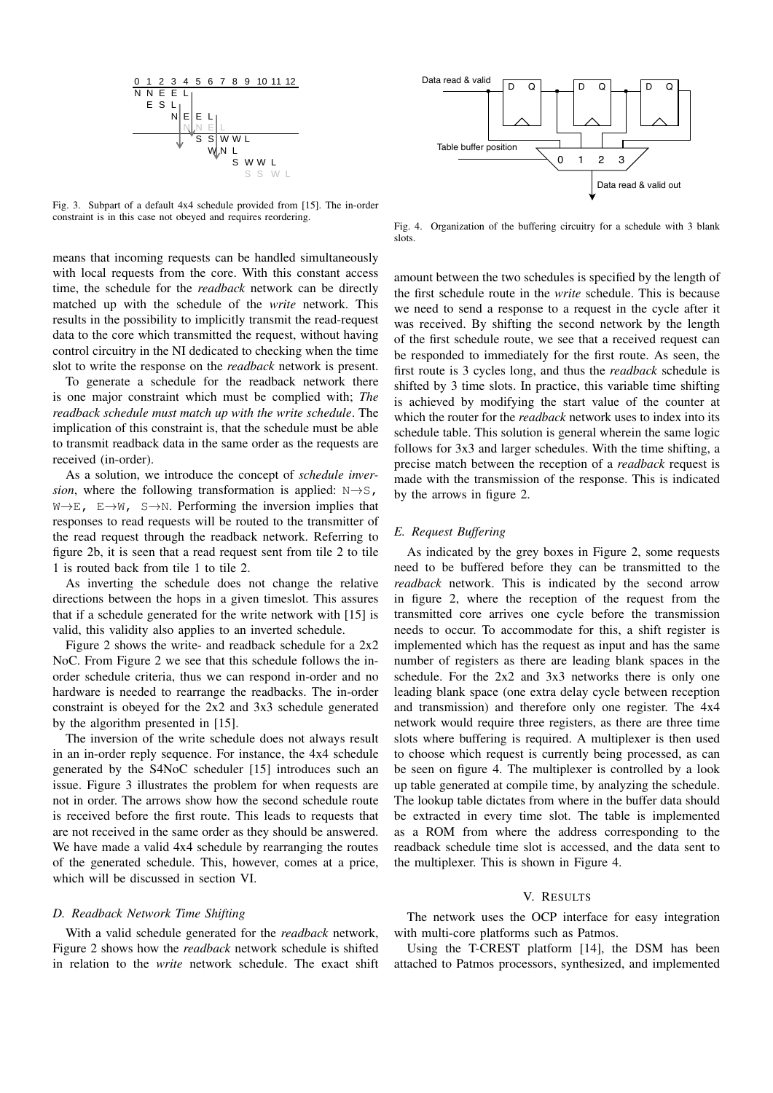

<span id="page-3-0"></span>Fig. 3. Subpart of a default 4x4 schedule provided from [\[15\]](#page-6-14). The in-order constraint is in this case not obeyed and requires reordering.

means that incoming requests can be handled simultaneously with local requests from the core. With this constant access time, the schedule for the *readback* network can be directly matched up with the schedule of the *write* network. This results in the possibility to implicitly transmit the read-request data to the core which transmitted the request, without having control circuitry in the NI dedicated to checking when the time slot to write the response on the *readback* network is present.

To generate a schedule for the readback network there is one major constraint which must be complied with; *The readback schedule must match up with the write schedule*. The implication of this constraint is, that the schedule must be able to transmit readback data in the same order as the requests are received (in-order).

figure 2b, it is seen that a read request sent from tile 2 to tile As a solution, we introduce the concept of *schedule inversion*, where the following transformation is applied:  $N \rightarrow S$ ,  $W \rightarrow E$ ,  $E \rightarrow W$ ,  $S \rightarrow N$ . Performing the inversion implies that responses to read requests will be routed to the transmitter of the read request through the readback network. Referring to 1 is routed back from tile 1 to tile 2.

As inverting the schedule does not change the relative directions between the hops in a given timeslot. This assures that if a schedule generated for the write network with [\[15\]](#page-6-14) is valid, this validity also applies to an inverted schedule.

Figure [2](#page-2-1) shows the write- and readback schedule for a 2x2 NoC. From Figure [2](#page-2-1) we see that this schedule follows the inorder schedule criteria, thus we can respond in-order and no hardware is needed to rearrange the readbacks. The in-order constraint is obeyed for the 2x2 and 3x3 schedule generated by the algorithm presented in [\[15\]](#page-6-14).

The inversion of the write schedule does not always result in an in-order reply sequence. For instance, the 4x4 schedule generated by the S4NoC scheduler [\[15\]](#page-6-14) introduces such an issue. Figure [3](#page-3-0) illustrates the problem for when requests are not in order. The arrows show how the second schedule route is received before the first route. This leads to requests that are not received in the same order as they should be answered. We have made a valid  $4x4$  schedule by rearranging the routes of the generated schedule. This, however, comes at a price, which will be discussed in section [VI.](#page-5-0)

## *D. Readback Network Time Shifting*

With a valid schedule generated for the *readback* network, Figure [2](#page-2-1) shows how the *readback* network schedule is shifted in relation to the *write* network schedule. The exact shift



<span id="page-3-1"></span>Fig. 4. Organization of the buffering circuitry for a schedule with 3 blank slots.

amount between the two schedules is specified by the length of the first schedule route in the *write* schedule. This is because we need to send a response to a request in the cycle after it was received. By shifting the second network by the length of the first schedule route, we see that a received request can be responded to immediately for the first route. As seen, the first route is 3 cycles long, and thus the *readback* schedule is shifted by 3 time slots. In practice, this variable time shifting is achieved by modifying the start value of the counter at which the router for the *readback* network uses to index into its schedule table. This solution is general wherein the same logic follows for 3x3 and larger schedules. With the time shifting, a precise match between the reception of a *readback* request is made with the transmission of the response. This is indicated by the arrows in figure [2.](#page-2-1)

# *E. Request Buffering*

As indicated by the grey boxes in Figure [2,](#page-2-1) some requests need to be buffered before they can be transmitted to the *readback* network. This is indicated by the second arrow in figure [2,](#page-2-1) where the reception of the request from the transmitted core arrives one cycle before the transmission needs to occur. To accommodate for this, a shift register is implemented which has the request as input and has the same number of registers as there are leading blank spaces in the schedule. For the 2x2 and 3x3 networks there is only one leading blank space (one extra delay cycle between reception and transmission) and therefore only one register. The 4x4 network would require three registers, as there are three time slots where buffering is required. A multiplexer is then used to choose which request is currently being processed, as can be seen on figure [4.](#page-3-1) The multiplexer is controlled by a look up table generated at compile time, by analyzing the schedule. The lookup table dictates from where in the buffer data should be extracted in every time slot. The table is implemented as a ROM from where the address corresponding to the readback schedule time slot is accessed, and the data sent to the multiplexer. This is shown in Figure [4.](#page-3-1)

#### V. RESULTS

The network uses the OCP interface for easy integration with multi-core platforms such as Patmos.

Using the T-CREST platform [\[14\]](#page-6-13), the DSM has been attached to Patmos processors, synthesized, and implemented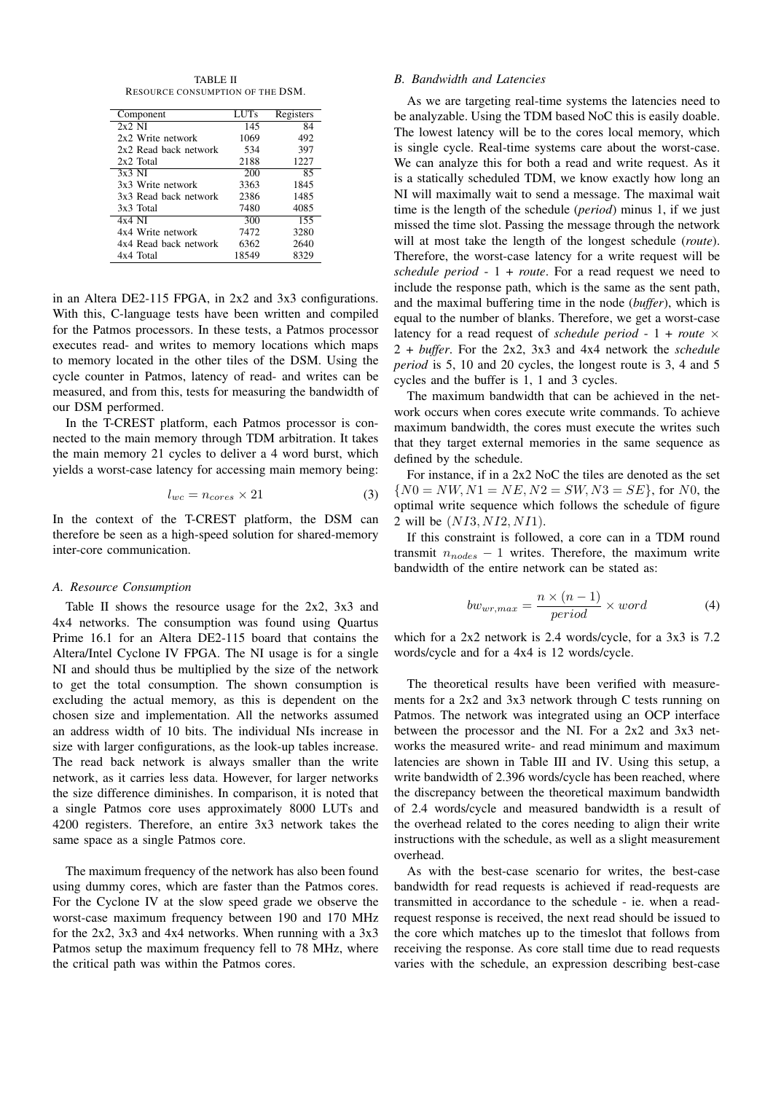TABLE II RESOURCE CONSUMPTION OF THE DSM.

<span id="page-4-0"></span>

| Component             | LUTs  | Registers |
|-----------------------|-------|-----------|
| $2x2$ NI              | 145   | 84        |
| 2x2 Write network     | 1069  | 492       |
| 2x2 Read back network | 534   | 397       |
| $2x2$ Total           | 2188  | 1227      |
| $3x3$ NI              | 200   | 85        |
| 3x3 Write network     | 3363  | 1845      |
| 3x3 Read back network | 2386  | 1485      |
| 3x3 Total             | 7480  | 4085      |
| $4x4$ NI              | 300   | 155       |
| 4x4 Write network     | 7472  | 3280      |
| 4x4 Read back network | 6362  | 2640      |
| 4x4 Total             | 18549 | 8329      |

in an Altera DE2-115 FPGA, in 2x2 and 3x3 configurations. With this, C-language tests have been written and compiled for the Patmos processors. In these tests, a Patmos processor executes read- and writes to memory locations which maps to memory located in the other tiles of the DSM. Using the cycle counter in Patmos, latency of read- and writes can be measured, and from this, tests for measuring the bandwidth of our DSM performed.

In the T-CREST platform, each Patmos processor is connected to the main memory through TDM arbitration. It takes the main memory 21 cycles to deliver a 4 word burst, which yields a worst-case latency for accessing main memory being:

$$
l_{wc} = n_{cores} \times 21\tag{3}
$$

In the context of the T-CREST platform, the DSM can therefore be seen as a high-speed solution for shared-memory inter-core communication.

# *A. Resource Consumption*

Table [II](#page-4-0) shows the resource usage for the 2x2, 3x3 and 4x4 networks. The consumption was found using Quartus Prime 16.1 for an Altera DE2-115 board that contains the Altera/Intel Cyclone IV FPGA. The NI usage is for a single NI and should thus be multiplied by the size of the network to get the total consumption. The shown consumption is excluding the actual memory, as this is dependent on the chosen size and implementation. All the networks assumed an address width of 10 bits. The individual NIs increase in size with larger configurations, as the look-up tables increase. The read back network is always smaller than the write network, as it carries less data. However, for larger networks the size difference diminishes. In comparison, it is noted that a single Patmos core uses approximately 8000 LUTs and 4200 registers. Therefore, an entire 3x3 network takes the same space as a single Patmos core.

The maximum frequency of the network has also been found using dummy cores, which are faster than the Patmos cores. For the Cyclone IV at the slow speed grade we observe the worst-case maximum frequency between 190 and 170 MHz for the 2x2, 3x3 and 4x4 networks. When running with a 3x3 Patmos setup the maximum frequency fell to 78 MHz, where the critical path was within the Patmos cores.

# *B. Bandwidth and Latencies*

As we are targeting real-time systems the latencies need to be analyzable. Using the TDM based NoC this is easily doable. The lowest latency will be to the cores local memory, which is single cycle. Real-time systems care about the worst-case. We can analyze this for both a read and write request. As it is a statically scheduled TDM, we know exactly how long an NI will maximally wait to send a message. The maximal wait time is the length of the schedule (*period*) minus 1, if we just missed the time slot. Passing the message through the network will at most take the length of the longest schedule (*route*). Therefore, the worst-case latency for a write request will be *schedule period* - 1 + *route*. For a read request we need to include the response path, which is the same as the sent path, and the maximal buffering time in the node (*buffer*), which is equal to the number of blanks. Therefore, we get a worst-case latency for a read request of *schedule period* -  $1 + route \times$ 2 + *buffer*. For the 2x2, 3x3 and 4x4 network the *schedule period* is 5, 10 and 20 cycles, the longest route is 3, 4 and 5 cycles and the buffer is 1, 1 and 3 cycles.

The maximum bandwidth that can be achieved in the network occurs when cores execute write commands. To achieve maximum bandwidth, the cores must execute the writes such that they target external memories in the same sequence as defined by the schedule.

For instance, if in a 2x2 NoC the tiles are denoted as the set  $\{N0 = NW, N1 = NE, N2 = SW, N3 = SE\}$ , for N0, the optimal write sequence which follows the schedule of figure [2](#page-2-1) will be (NI3, NI2, NI1).

If this constraint is followed, a core can in a TDM round transmit  $n_{nodes} - 1$  writes. Therefore, the maximum write bandwidth of the entire network can be stated as:

$$
bw_{wr,max} = \frac{n \times (n-1)}{period} \times word \tag{4}
$$

which for a 2x2 network is 2.4 words/cycle, for a 3x3 is 7.2 words/cycle and for a 4x4 is 12 words/cycle.

The theoretical results have been verified with measurements for a 2x2 and 3x3 network through C tests running on Patmos. The network was integrated using an OCP interface between the processor and the NI. For a 2x2 and 3x3 networks the measured write- and read minimum and maximum latencies are shown in Table [III](#page-5-1) and [IV.](#page-5-2) Using this setup, a write bandwidth of 2.396 words/cycle has been reached, where the discrepancy between the theoretical maximum bandwidth of 2.4 words/cycle and measured bandwidth is a result of the overhead related to the cores needing to align their write instructions with the schedule, as well as a slight measurement overhead.

As with the best-case scenario for writes, the best-case bandwidth for read requests is achieved if read-requests are transmitted in accordance to the schedule - ie. when a readrequest response is received, the next read should be issued to the core which matches up to the timeslot that follows from receiving the response. As core stall time due to read requests varies with the schedule, an expression describing best-case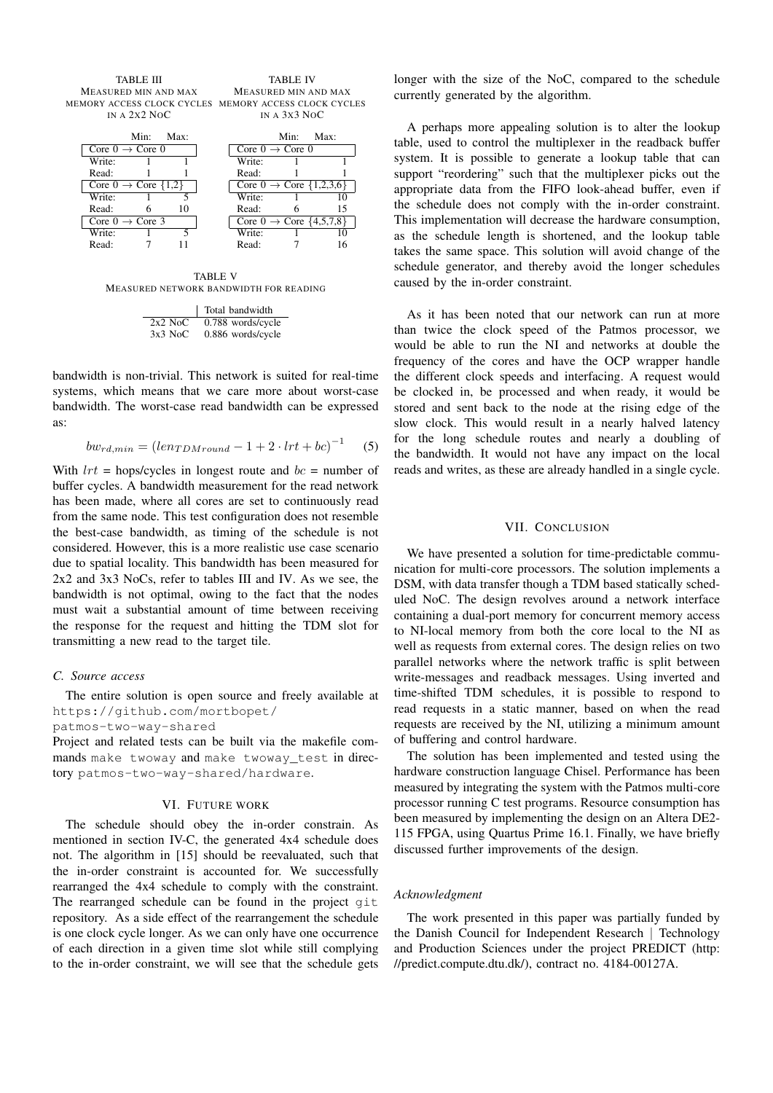<span id="page-5-2"></span><span id="page-5-1"></span>

|           | Total bandwidth   |
|-----------|-------------------|
| $2x2$ NoC | 0.788 words/cycle |
| $3x3$ NoC | 0.886 words/cycle |

bandwidth is non-trivial. This network is suited for real-time systems, which means that we care more about worst-case bandwidth. The worst-case read bandwidth can be expressed as:

$$
bw_{rd,min} = (len_{TDMround} - 1 + 2 \cdot lrt + bc)^{-1}
$$
 (5)

With  $lrt$  = hops/cycles in longest route and  $bc$  = number of buffer cycles. A bandwidth measurement for the read network has been made, where all cores are set to continuously read from the same node. This test configuration does not resemble the best-case bandwidth, as timing of the schedule is not considered. However, this is a more realistic use case scenario due to spatial locality. This bandwidth has been measured for 2x2 and 3x3 NoCs, refer to tables [III](#page-5-1) and [IV.](#page-5-2) As we see, the bandwidth is not optimal, owing to the fact that the nodes must wait a substantial amount of time between receiving the response for the request and hitting the TDM slot for transmitting a new read to the target tile.

## *C. Source access*

The entire solution is open source and freely available at https://github.com/mortbopet/

patmos-two-way-shared

Project and related tests can be built via the makefile commands make twoway and make twoway\_test in directory patmos-two-way-shared/hardware.

## VI. FUTURE WORK

<span id="page-5-0"></span>The schedule should obey the in-order constrain. As mentioned in section [IV-C,](#page-2-2) the generated 4x4 schedule does not. The algorithm in [\[15\]](#page-6-14) should be reevaluated, such that the in-order constraint is accounted for. We successfully rearranged the 4x4 schedule to comply with the constraint. The rearranged schedule can be found in the project git repository. As a side effect of the rearrangement the schedule is one clock cycle longer. As we can only have one occurrence of each direction in a given time slot while still complying to the in-order constraint, we will see that the schedule gets

longer with the size of the NoC, compared to the schedule currently generated by the algorithm.

A perhaps more appealing solution is to alter the lookup table, used to control the multiplexer in the readback buffer system. It is possible to generate a lookup table that can support "reordering" such that the multiplexer picks out the appropriate data from the FIFO look-ahead buffer, even if the schedule does not comply with the in-order constraint. This implementation will decrease the hardware consumption, as the schedule length is shortened, and the lookup table takes the same space. This solution will avoid change of the schedule generator, and thereby avoid the longer schedules caused by the in-order constraint.

As it has been noted that our network can run at more than twice the clock speed of the Patmos processor, we would be able to run the NI and networks at double the frequency of the cores and have the OCP wrapper handle the different clock speeds and interfacing. A request would be clocked in, be processed and when ready, it would be stored and sent back to the node at the rising edge of the slow clock. This would result in a nearly halved latency for the long schedule routes and nearly a doubling of the bandwidth. It would not have any impact on the local reads and writes, as these are already handled in a single cycle.

#### VII. CONCLUSION

We have presented a solution for time-predictable communication for multi-core processors. The solution implements a DSM, with data transfer though a TDM based statically scheduled NoC. The design revolves around a network interface containing a dual-port memory for concurrent memory access to NI-local memory from both the core local to the NI as well as requests from external cores. The design relies on two parallel networks where the network traffic is split between write-messages and readback messages. Using inverted and time-shifted TDM schedules, it is possible to respond to read requests in a static manner, based on when the read requests are received by the NI, utilizing a minimum amount of buffering and control hardware.

The solution has been implemented and tested using the hardware construction language Chisel. Performance has been measured by integrating the system with the Patmos multi-core processor running C test programs. Resource consumption has been measured by implementing the design on an Altera DE2- 115 FPGA, using Quartus Prime 16.1. Finally, we have briefly discussed further improvements of the design.

#### *Acknowledgment*

The work presented in this paper was partially funded by the Danish Council for Independent Research | Technology and Production Sciences under the project PREDICT [\(http:](http://predict.compute.dtu.dk/) [//predict.compute.dtu.dk/\)](http://predict.compute.dtu.dk/), contract no. 4184-00127A.